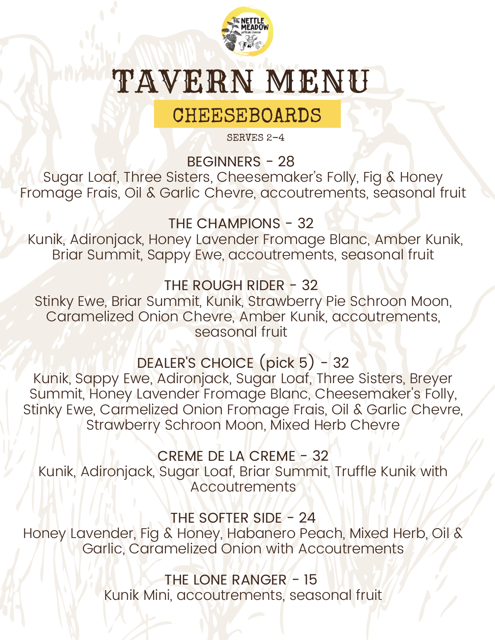

# TAVERN MENU

### CHEESEBOARDS

SERVES 2-4

BEGINNERS - 28

Sugar Loaf, Three Sisters, Cheesemaker's Folly, Fig & Honey Fromage Frais, Oil & Garlic Chevre, accoutrements, seasonal fruit

THE CHAMPIONS - 32

Kunik, Adironjack, Honey Lavender Fromage Blanc, Amber Kunik, Briar Summit, Sappy Ewe, accoutrements, seasonal fruit

THE ROUGH RIDER - 32

Stinky Ewe, Briar Summit, Kunik, Strawberry Pie Schroon Moon, Caramelized Onion Chevre, Amber Kunik, accoutrements, seasonal fruit

DEALER'S CHOICE (pick 5) - 32

Kunik, Sappy Ewe, Adironjack, Sugar Loaf, Three Sisters, Breyer Summit, Honey Lavender Fromage Blanc, Cheesemaker's Folly, Stinky Ewe, Carmelized Onion Fromage Frais, Oil & Garlic Chevre, Strawberry Schroon Moon, Mixed Herb Chevre

CREME DE LA CREME - 32

Kunik, Adironjack, Sugar Loaf, Briar Summit, Truffle Kunik with **Accoutrements** 

THE SOFTER SIDE - 24

Honey Lavender, Fig & Honey, Habanero Peach, Mixed Herb, Oil & Garlic, Caramelized Onion with Accoutrements

> THE LONE RANGER - 15 Kunik Mini, accoutrements, seasonal fruit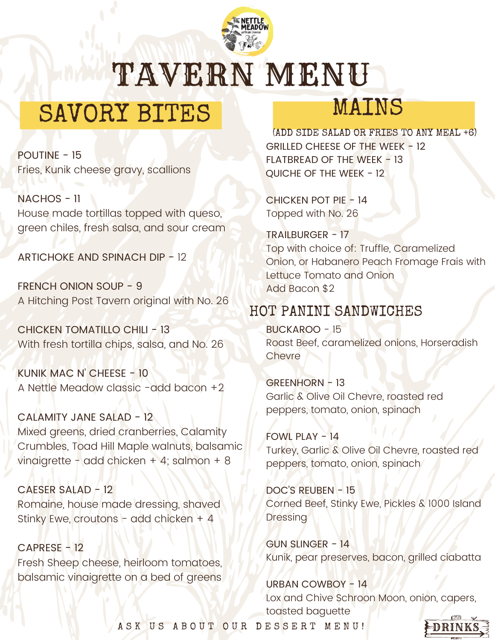

TAVERN MENU

## SAVORY BITES

POUTINE - 15 Fries, Kunik cheese gravy, scallions

NACHOS - 11 House made tortillas topped with queso, green chiles, fresh salsa, and sour cream

ARTICHOKE AND SPINACH DIP - 12

FRENCH ONION SOUP - 9 A Hitching Post Tavern original with No. 26

CHICKEN TOMATILLO CHILI - 13 With fresh tortilla chips, salsa, and No. 26

KUNIK MAC N' CHEESE - 10 A Nettle Meadow classic -add bacon +2

CALAMITY JANE SALAD - 12 Mixed greens, dried cranberries, Calamity Crumbles, Toad Hill Maple walnuts, balsamic vinaigrette - add chicken + 4; salmon + 8

CAESER SALAD - 12 Romaine, house made dressing, shaved Stinky Ewe, croutons - add chicken + 4

CAPRESE - 12 Fresh Sheep cheese, heirloom tomatoes, balsamic vinaigrette on a bed of greens

### MAINS

(ADD SIDE SALAD OR FRIES TO ANY MEAL +6) GRILLED CHEESE OF THE WEEK - 12 FLATBREAD OF THE WEEK - 13 QUICHE OF THE WEEK - 12

CHICKEN POT PIE - 14 Topped with No. 26

TRAILBURGER - 17 Top with choice of: Truffle, Caramelized Onion, or Habanero Peach Fromage Frais with Lettuce Tomato and Onion Add Bacon \$2

#### HOT PANINI SANDWICHES

BUCKAROO - 15 Roast Beef, caramelized onions, Horseradish **Chevre** 

GREENHORN - 13 Garlic & Olive Oil Chevre, roasted red peppers, tomato, onion, spinach

FOWL PLAY - 14 Turkey, Garlic & Olive Oil Chevre, roasted red peppers, tomato, onion, spinach

DOC'S REUBEN - 15 Corned Beef, Stinky Ewe, Pickles & 1000 Island Dressing

GUN SLINGER - 14 Kunik, pear preserves, bacon, grilled ciabatta

URBAN COWBOY - 14 Lox and Chive Schroon Moon, onion, capers, toasted baguette

A S K U S A B O U T O U R D E S S E R T M E N U !

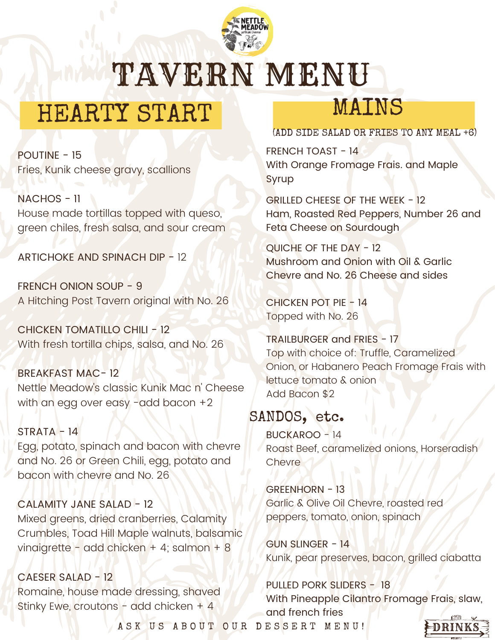

TAVERN MENU

# HEARTY START

POUTINE - 15 Fries, Kunik cheese gravy, scallions

NACHOS - 11 House made tortillas topped with queso, green chiles, fresh salsa, and sour cream

ARTICHOKE AND SPINACH DIP - 12

FRENCH ONION SOUP - 9 A Hitching Post Tavern original with No. 26

CHICKEN TOMATILLO CHILI - 12 With fresh tortilla chips, salsa, and No. 26

BREAKFAST MAC- 12 Nettle Meadow's classic Kunik Mac n' Cheese with an egg over easy -add bacon +2

 $STRATA - 14$ Egg, potato, spinach and bacon with chevre and No. 26 or Green Chili, egg, potato and bacon with chevre and No. 26

CALAMITY JANE SALAD - 12 Mixed greens, dried cranberries, Calamity Crumbles, Toad Hill Maple walnuts, balsamic vinaigrette - add chicken + 4; salmon + 8

CAESER SALAD - 12 Romaine, house made dressing, shaved Stinky Ewe, croutons - add chicken  $+$  4

## MAINS

(ADD SIDE SALAD OR FRIES TO ANY MEAL +6)

FRENCH TOAST - 14 With Orange Fromage Frais. and Maple **Syrup** 

GRILLED CHEESE OF THE WEEK - 12 Ham, Roasted Red Peppers, Number 26 and Feta Cheese on Sourdough

QUICHE OF THE DAY - 12 Mushroom and Onion with Oil & Garlic Chevre and No. 26 Cheese and sides

CHICKEN POT PIE - 14 Topped with No. 26

TRAILBURGER and FRIES - 17 Top with choice of: Truffle, Caramelized Onion, or Habanero Peach Fromage Frais with lettuce tomato & onion Add Bacon \$2

#### SANDOS, etc.

BUCKAROO - 14 Roast Beef, caramelized onions, Horseradish **Chevre** 

GREENHORN - 13 Garlic & Olive Oil Chevre, roasted red peppers, tomato, onion, spinach

GUN SLINGER - 14 Kunik, pear preserves, bacon, grilled ciabatta

PULLED PORK SLIDERS - 18 With Pineapple Cilantro Fromage Frais, slaw, and french fries

A S K U S A B O U T O U R D E S S E R T M E N U !